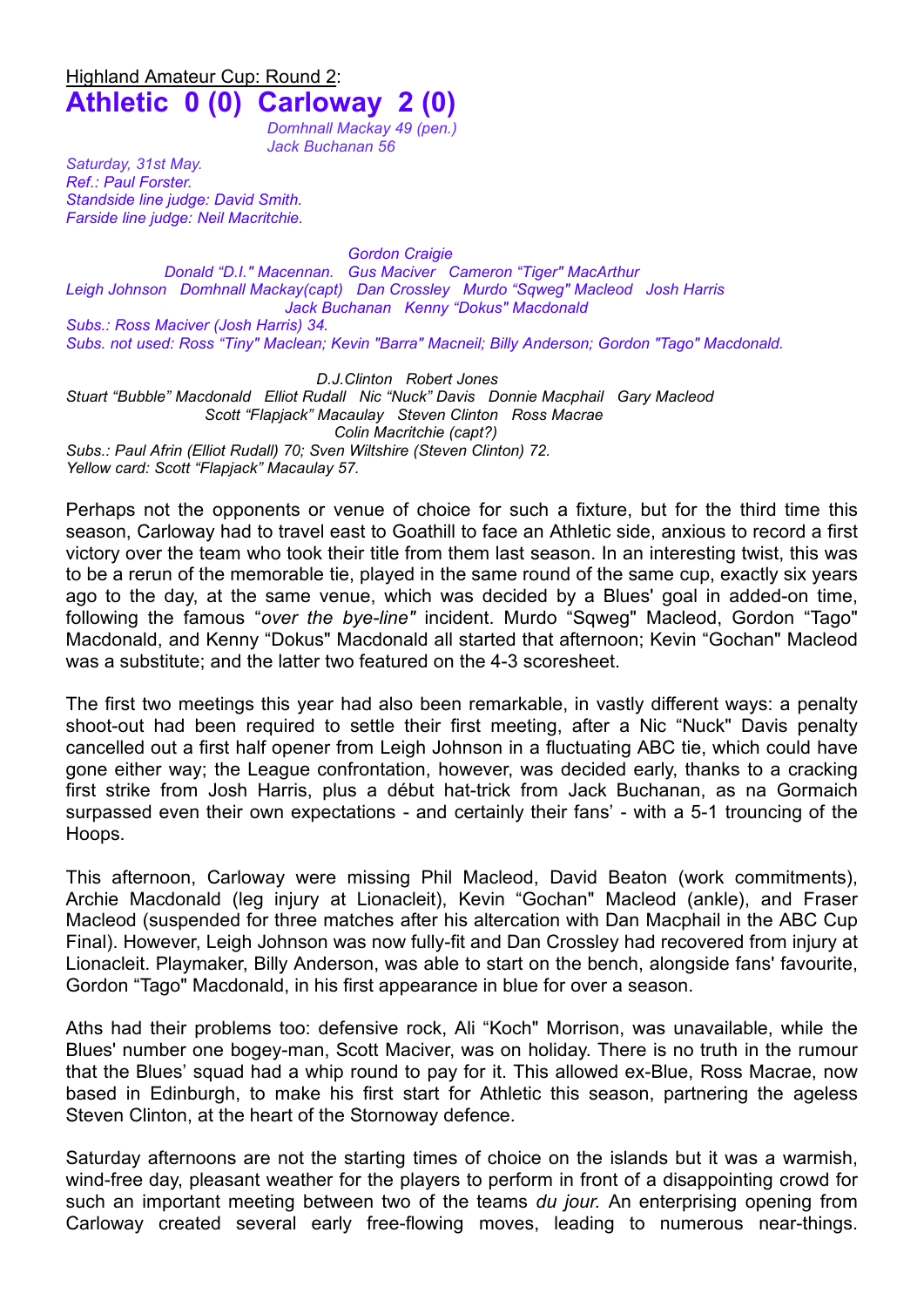## Highland Amateur Cup: Round 2: **Athletic 0 (0) Carloway 2 (0)**

*Domhnall Mackay 49 (pen.) Jack Buchanan 56*

*Saturday, 31st May. Ref.: Paul Forster. Standside line judge: David Smith. Farside line judge: Neil Macritchie.*

*Gordon Craigie Donald "D.I." Macennan. Gus Maciver Cameron "Tiger" MacArthur Leigh Johnson Domhnall Mackay(capt) Dan Crossley Murdo "Sqweg" Macleod Josh Harris Jack Buchanan Kenny "Dokus" Macdonald Subs.: Ross Maciver (Josh Harris) 34. Subs. not used: Ross "Tiny" Maclean; Kevin "Barra" Macneil; Billy Anderson; Gordon "Tago" Macdonald.*

*D.J.Clinton Robert Jones Stuart "Bubble" Macdonald Elliot Rudall Nic "Nuck" Davis Donnie Macphail Gary Macleod Scott "Flapjack" Macaulay Steven Clinton Ross Macrae Colin Macritchie (capt?) Subs.: Paul Afrin (Elliot Rudall) 70; Sven Wiltshire (Steven Clinton) 72. Yellow card: Scott "Flapjack" Macaulay 57.*

Perhaps not the opponents or venue of choice for such a fixture, but for the third time this season, Carloway had to travel east to Goathill to face an Athletic side, anxious to record a first victory over the team who took their title from them last season. In an interesting twist, this was to be a rerun of the memorable tie, played in the same round of the same cup, exactly six years ago to the day, at the same venue, which was decided by a Blues' goal in added-on time, following the famous "*over the bye-line"* incident. Murdo "Sqweg" Macleod, Gordon "Tago" Macdonald, and Kenny "Dokus" Macdonald all started that afternoon; Kevin "Gochan" Macleod was a substitute; and the latter two featured on the 4-3 scoresheet.

The first two meetings this year had also been remarkable, in vastly different ways: a penalty shoot-out had been required to settle their first meeting, after a Nic "Nuck" Davis penalty cancelled out a first half opener from Leigh Johnson in a fluctuating ABC tie, which could have gone either way; the League confrontation, however, was decided early, thanks to a cracking first strike from Josh Harris, plus a début hat-trick from Jack Buchanan, as na Gormaich surpassed even their own expectations - and certainly their fans' - with a 5-1 trouncing of the Hoops.

This afternoon, Carloway were missing Phil Macleod, David Beaton (work commitments), Archie Macdonald (leg injury at Lionacleit), Kevin "Gochan" Macleod (ankle), and Fraser Macleod (suspended for three matches after his altercation with Dan Macphail in the ABC Cup Final). However, Leigh Johnson was now fully-fit and Dan Crossley had recovered from injury at Lionacleit. Playmaker, Billy Anderson, was able to start on the bench, alongside fans' favourite, Gordon "Tago" Macdonald, in his first appearance in blue for over a season.

Aths had their problems too: defensive rock, Ali "Koch" Morrison, was unavailable, while the Blues' number one bogey-man, Scott Maciver, was on holiday. There is no truth in the rumour that the Blues' squad had a whip round to pay for it. This allowed ex-Blue, Ross Macrae, now based in Edinburgh, to make his first start for Athletic this season, partnering the ageless Steven Clinton, at the heart of the Stornoway defence.

Saturday afternoons are not the starting times of choice on the islands but it was a warmish, wind-free day, pleasant weather for the players to perform in front of a disappointing crowd for such an important meeting between two of the teams *du jour.* An enterprising opening from Carloway created several early free-flowing moves, leading to numerous near-things.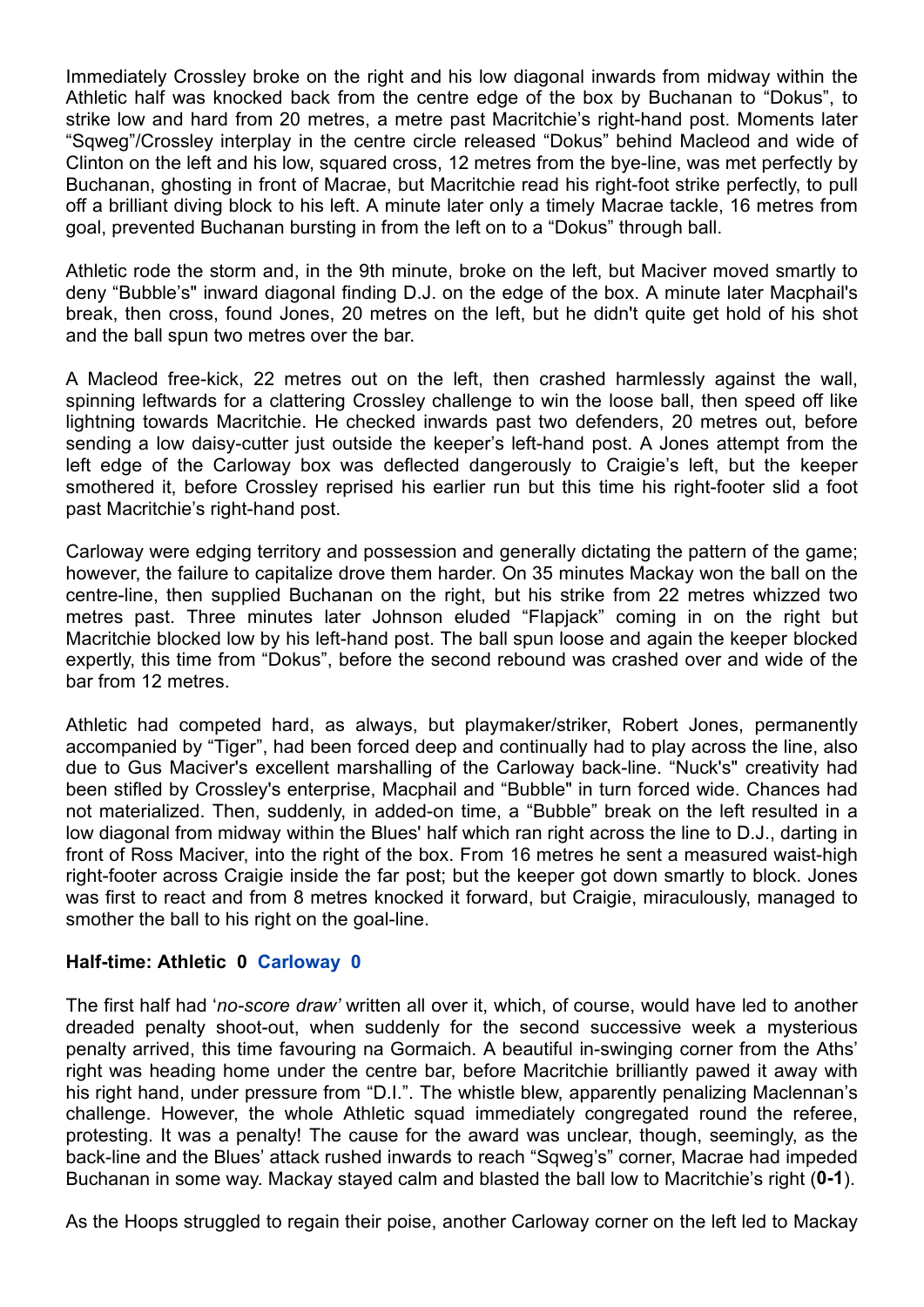Immediately Crossley broke on the right and his low diagonal inwards from midway within the Athletic half was knocked back from the centre edge of the box by Buchanan to "Dokus", to strike low and hard from 20 metres, a metre past Macritchie's right-hand post. Moments later "Sqweg"/Crossley interplay in the centre circle released "Dokus" behind Macleod and wide of Clinton on the left and his low, squared cross, 12 metres from the bye-line, was met perfectly by Buchanan, ghosting in front of Macrae, but Macritchie read his right-foot strike perfectly, to pull off a brilliant diving block to his left. A minute later only a timely Macrae tackle, 16 metres from goal, prevented Buchanan bursting in from the left on to a "Dokus" through ball.

Athletic rode the storm and, in the 9th minute, broke on the left, but Maciver moved smartly to deny "Bubble's" inward diagonal finding D.J. on the edge of the box. A minute later Macphail's break, then cross, found Jones, 20 metres on the left, but he didn't quite get hold of his shot and the ball spun two metres over the bar.

A Macleod free-kick, 22 metres out on the left, then crashed harmlessly against the wall, spinning leftwards for a clattering Crossley challenge to win the loose ball, then speed off like lightning towards Macritchie. He checked inwards past two defenders, 20 metres out, before sending a low daisy-cutter just outside the keeper's left-hand post. A Jones attempt from the left edge of the Carloway box was deflected dangerously to Craigie's left, but the keeper smothered it, before Crossley reprised his earlier run but this time his right-footer slid a foot past Macritchie's right-hand post.

Carloway were edging territory and possession and generally dictating the pattern of the game; however, the failure to capitalize drove them harder. On 35 minutes Mackay won the ball on the centre-line, then supplied Buchanan on the right, but his strike from 22 metres whizzed two metres past. Three minutes later Johnson eluded "Flapjack" coming in on the right but Macritchie blocked low by his left-hand post. The ball spun loose and again the keeper blocked expertly, this time from "Dokus", before the second rebound was crashed over and wide of the bar from 12 metres.

Athletic had competed hard, as always, but playmaker/striker, Robert Jones, permanently accompanied by "Tiger", had been forced deep and continually had to play across the line, also due to Gus Maciver's excellent marshalling of the Carloway back-line. "Nuck's" creativity had been stifled by Crossley's enterprise, Macphail and "Bubble" in turn forced wide. Chances had not materialized. Then, suddenly, in added-on time, a "Bubble" break on the left resulted in a low diagonal from midway within the Blues' half which ran right across the line to D.J., darting in front of Ross Maciver, into the right of the box. From 16 metres he sent a measured waist-high right-footer across Craigie inside the far post; but the keeper got down smartly to block. Jones was first to react and from 8 metres knocked it forward, but Craigie, miraculously, managed to smother the ball to his right on the goal-line.

## **Half-time: Athletic 0 Carloway 0**

The first half had '*no-score draw'* written all over it, which, of course, would have led to another dreaded penalty shoot-out, when suddenly for the second successive week a mysterious penalty arrived, this time favouring na Gormaich. A beautiful in-swinging corner from the Aths' right was heading home under the centre bar, before Macritchie brilliantly pawed it away with his right hand, under pressure from "D.I.". The whistle blew, apparently penalizing Maclennan's challenge. However, the whole Athletic squad immediately congregated round the referee, protesting. It was a penalty! The cause for the award was unclear, though, seemingly, as the back-line and the Blues' attack rushed inwards to reach "Sqweg's" corner, Macrae had impeded Buchanan in some way. Mackay stayed calm and blasted the ball low to Macritchie's right (**0-1**).

As the Hoops struggled to regain their poise, another Carloway corner on the left led to Mackay